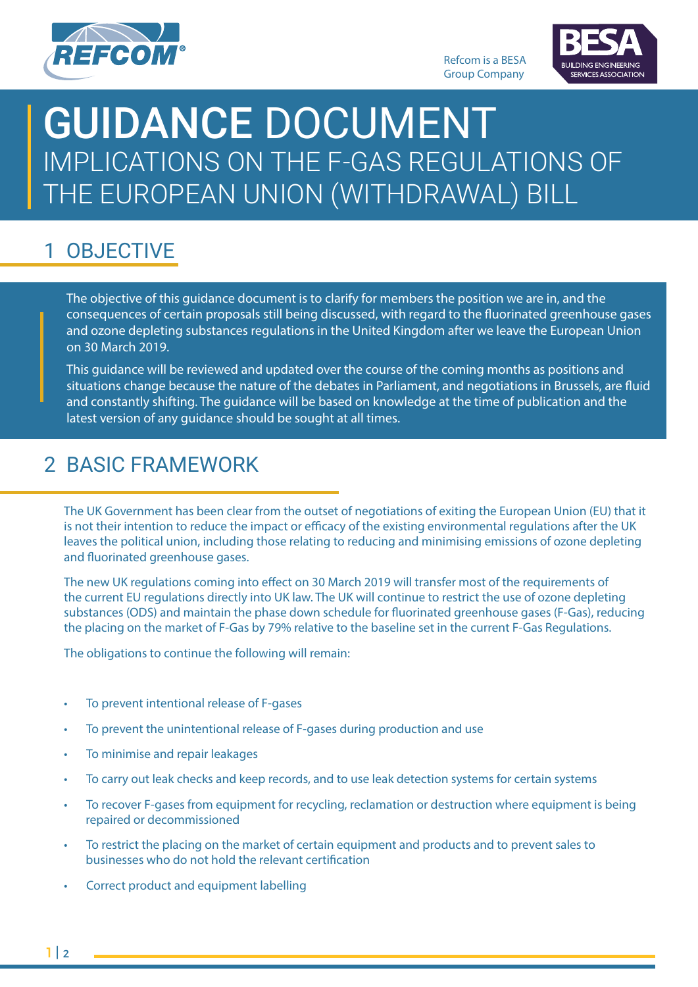



# THE EUROPEAN UNION (WITHDRAWAL) BILL **GUIDANCE DOCUMENT** IMPLICATIONS ON THE F-GAS REGULATIONS OF

# 1 OBJECTIVE

The objective of this guidance document is to clarify for members the position we are in, and the consequences of certain proposals still being discussed, with regard to the fluorinated greenhouse gases and ozone depleting substances regulations in the United Kingdom after we leave the European Union on 30 March 2019.

This guidance will be reviewed and updated over the course of the coming months as positions and situations change because the nature of the debates in Parliament, and negotiations in Brussels, are fluid and constantly shifting. The guidance will be based on knowledge at the time of publication and the latest version of any guidance should be sought at all times.

### 2 BASIC FRAMEWORK

The UK Government has been clear from the outset of negotiations of exiting the European Union (EU) that it is not their intention to reduce the impact or efficacy of the existing environmental regulations after the UK leaves the political union, including those relating to reducing and minimising emissions of ozone depleting and fluorinated greenhouse gases.

The new UK regulations coming into effect on 30 March 2019 will transfer most of the requirements of the current EU regulations directly into UK law. The UK will continue to restrict the use of ozone depleting substances (ODS) and maintain the phase down schedule for fluorinated greenhouse gases (F-Gas), reducing the placing on the market of F-Gas by 79% relative to the baseline set in the current F-Gas Regulations.

The obligations to continue the following will remain:

- To prevent intentional release of F-gases
- To prevent the unintentional release of F-gases during production and use
- To minimise and repair leakages
- To carry out leak checks and keep records, and to use leak detection systems for certain systems
- To recover F-gases from equipment for recycling, reclamation or destruction where equipment is being repaired or decommissioned
- To restrict the placing on the market of certain equipment and products and to prevent sales to businesses who do not hold the relevant certification
- Correct product and equipment labelling